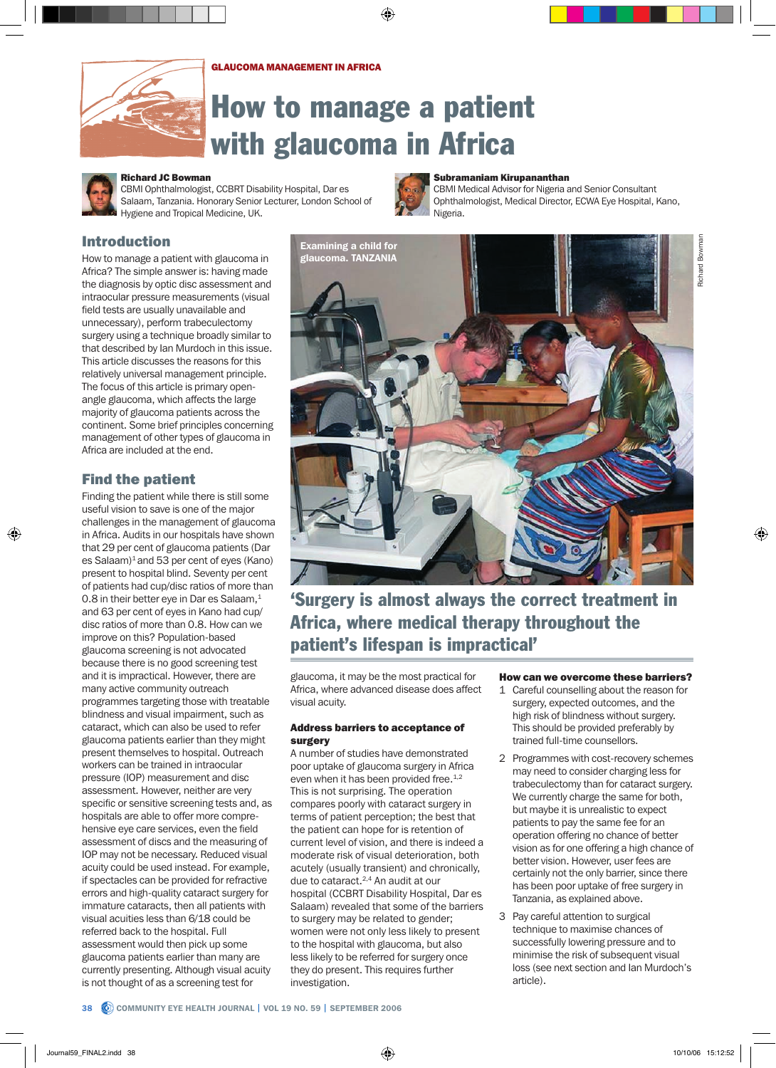

# How to manage a patient with glaucoma in Africa



#### Richard JC Bowman

CBMI Ophthalmologist, CCBRT Disability Hospital, Dar es Salaam, Tanzania. Honorary Senior Lecturer, London School of Hygiene and Tropical Medicine, UK.

## Introduction

How to manage a patient with glaucoma in Africa? The simple answer is: having made the diagnosis by optic disc assessment and intraocular pressure measurements (visual field tests are usually unavailable and unnecessary), perform trabeculectomy surgery using a technique broadly similar to that described by Ian Murdoch in this issue. This article discusses the reasons for this relatively universal management principle. The focus of this article is primary openangle glaucoma, which affects the large majority of glaucoma patients across the continent. Some brief principles concerning management of other types of glaucoma in Africa are included at the end.

## Find the patient

Finding the patient while there is still some useful vision to save is one of the major challenges in the management of glaucoma in Africa. Audits in our hospitals have shown that 29 per cent of glaucoma patients (Dar es Salaam)<sup>1</sup> and 53 per cent of eyes (Kano) present to hospital blind. Seventy per cent of patients had cup/disc ratios of more than 0.8 in their better eye in Dar es Salaam, $<sup>1</sup>$ </sup> and 63 per cent of eyes in Kano had cup/ disc ratios of more than 0.8. How can we improve on this? Population-based glaucoma screening is not advocated because there is no good screening test and it is impractical. However, there are many active community outreach programmes targeting those with treatable blindness and visual impairment, such as cataract, which can also be used to refer glaucoma patients earlier than they might present themselves to hospital. Outreach workers can be trained in intraocular pressure (IOP) measurement and disc assessment. However, neither are very specific or sensitive screening tests and, as hospitals are able to offer more comprehensive eye care services, even the field assessment of discs and the measuring of IOP may not be necessary. Reduced visual acuity could be used instead. For example, if spectacles can be provided for refractive errors and high-quality cataract surgery for immature cataracts, then all patients with visual acuities less than 6/18 could be referred back to the hospital. Full assessment would then pick up some glaucoma patients earlier than many are currently presenting. Although visual acuity is not thought of as a screening test for



#### Subramaniam Kirupananthan

CBMI Medical Advisor for Nigeria and Senior Consultant Ophthalmologist, Medical Director, ECWA Eye Hospital, Kano, Nigeria.





## 'Surgery is almost always the correct treatment in Africa, where medical therapy throughout the patient's lifespan is impractical'

glaucoma, it may be the most practical for Africa, where advanced disease does affect visual acuity.

#### Address barriers to acceptance of surgery

A number of studies have demonstrated poor uptake of glaucoma surgery in Africa even when it has been provided free.<sup>1,2</sup> This is not surprising. The operation compares poorly with cataract surgery in terms of patient perception; the best that the patient can hope for is retention of current level of vision, and there is indeed a moderate risk of visual deterioration, both acutely (usually transient) and chronically, due to cataract.2,4 An audit at our hospital (CCBRT Disability Hospital, Dar es Salaam) revealed that some of the barriers to surgery may be related to gender; women were not only less likely to present to the hospital with glaucoma, but also less likely to be referred for surgery once they do present. This requires further investigation.

#### How can we overcome these barriers?

- 1 Careful counselling about the reason for surgery, expected outcomes, and the high risk of blindness without surgery. This should be provided preferably by trained full-time counsellors.
- 2 Programmes with cost-recovery schemes may need to consider charging less for trabeculectomy than for cataract surgery. We currently charge the same for both, but maybe it is unrealistic to expect patients to pay the same fee for an operation offering no chance of better vision as for one offering a high chance of better vision. However, user fees are certainly not the only barrier, since there has been poor uptake of free surgery in Tanzania, as explained above.
- 3 Pay careful attention to surgical technique to maximise chances of successfully lowering pressure and to minimise the risk of subsequent visual loss (see next section and Ian Murdoch's article).